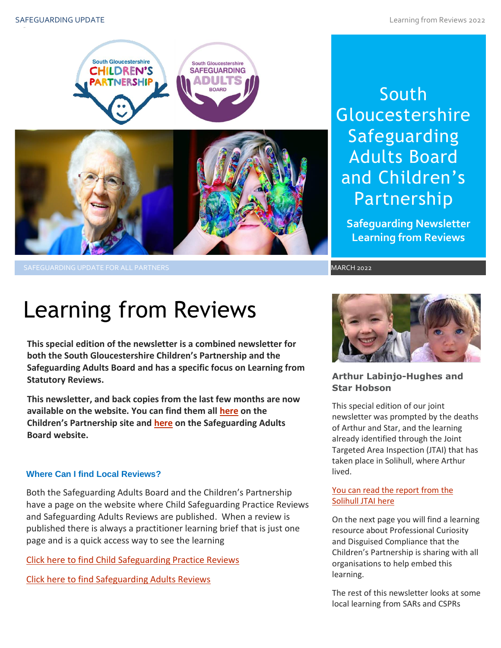

South **Gloucestershire** Safeguarding Adults Board and Children's Partnership

**Safeguarding Newsletter Learning from Reviews**

# Learning from Reviews

**This special edition of the newsletter is a combined newsletter for both the South Gloucestershire Children's Partnership and the Safeguarding Adults Board and has a specific focus on Learning from Statutory Reviews.**

**This newsletter, and back copies from the last few months are now available on the website. You can find them all [here](https://sites.southglos.gov.uk/safeguarding/children/safeguarding-children-board/scb-minutes-of-meetings/) on the Children's Partnership site and [here](https://sites.southglos.gov.uk/safeguarding/adults/safeguarding-adults-board/newsletters-2/) on the Safeguarding Adults Board website.**

#### **Where Can I find Local Reviews?**

Both the Safeguarding Adults Board and the Children's Partnership have a page on the website where Child Safeguarding Practice Reviews and Safeguarding Adults Reviews are published. When a review is published there is always a practitioner learning brief that is just one page and is a quick access way to see the learning

[Click here to find Child Safeguarding Practice Reviews](http://sites.southglos.gov.uk/safeguarding/children/safeguarding-children-board/serious-case-reviews/)

[Click here to find Safeguarding Adults Reviews](http://sites.southglos.gov.uk/safeguarding/adults/safeguarding-adults-board/serious-case-reviews-2/) 



#### **Arthur Labinjo-Hughes and Star Hobson**

This special edition of our joint newsletter was prompted by the deaths of Arthur and Star, and the learning already identified through the Joint Targeted Area Inspection (JTAI) that has taken place in Solihull, where Arthur lived.

### <u>[You can read the report from](https://files.ofsted.gov.uk/v1/file/50177948) the</u><br><mark>Solihull JTAI here</mark> Solihull JTAI here

On the next page you will find a learning resource about Professional Curiosity and Disguised Compliance that the Children's Partnership is sharing with all organisations to help embed this learning.

The rest of this newsletter looks at some local learning from SARs and CSPRs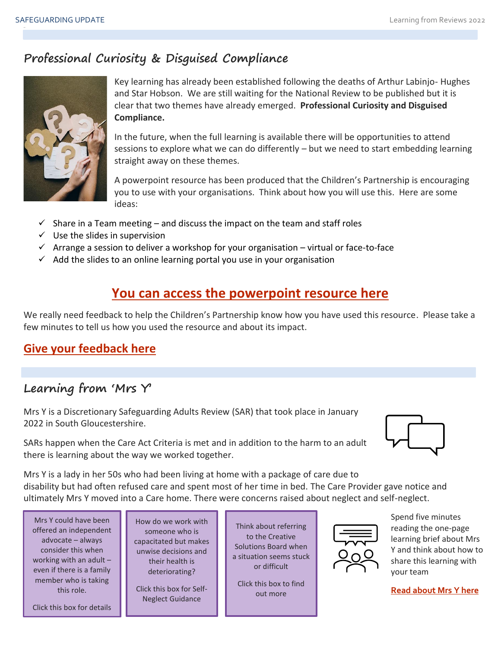# **Professional Curiosity & Disguised Compliance**



Key learning has already been established following the deaths of Arthur Labinjo- Hughes and Star Hobson. We are still waiting for the National Review to be published but it is clear that two themes have already emerged. **Professional Curiosity and Disguised Compliance.**

In the future, when the full learning is available there will be opportunities to attend sessions to explore what we can do differently – but we need to start embedding learning straight away on these themes.

A powerpoint resource has been produced that the Children's Partnership is encouraging you to use with your organisations. Think about how you will use this. Here are some ideas:

- $\checkmark$  Share in a Team meeting and discuss the impact on the team and staff roles
- $\checkmark$  Use the slides in supervision
- $\checkmark$  Arrange a session to deliver a workshop for your organisation virtual or face-to-face
- $\checkmark$  Add the slides to an online learning portal you use in your organisation

# **[You can access the powerpoint resource here](https://view.officeapps.live.com/op/view.aspx?src=http%3A%2F%2Fsites.southglos.gov.uk%2Fsafeguarding%2Fwp-content%2Fuploads%2Fsites%2F221%2F2015%2F05%2FProfessional-Curiosity-and-Disguised-Compliance-feb-22-Final-002.pptx&wdOrigin=BROWSELINK)**

We really need feedback to help the Children's Partnership know how you have used this resource. Please take a few minutes to tell us how you used the resource and about its impact.

## **[Give your feedback here](https://forms.office.com/Pages/ResponsePage.aspx?id=Up6wZK2HvkaX0tlt0G861Ajw675Rt2VGh1eDqrlSyU1URDNFOEpTT0wyUFVTQzdIS0dLNEVVMU1WRS4u)**

# **Learning from 'Mrs Y'**

Mrs Y is a Discretionary Safeguarding Adults Review (SAR) that took place in January 2022 in South Gloucestershire.

SARs happen when the Care Act Criteria is met and in addition to the harm to an adult there is learning about the way we worked together.



Mrs Y is a lady in her 50s who had been living at home with a package of care due to disability but had often refused care and spent most of her time in bed. The Care Provider gave notice and ultimately Mrs Y moved into a Care home. There were concerns raised about neglect and self-neglect.

Mrs Y could have been offered an independent advocate – always consider this when working with an adult – even if there is a family member who is taking this role.

[Click this box for details](https://swanadvocacy.org.uk/easy-read/south-gloucestershire/)

How do we work with someone who is [capacitated but makes](http://sites.southglos.gov.uk/safeguarding/wp-content/uploads/sites/221/2015/05/Self-neglect-guidance-2019.pdf)  unwise decisions and their health is deteriorating?

Click this box for Self-Neglect Guidance

Think about referring to the Creative [Solutions Board when](https://sites.southglos.gov.uk/safeguarding/wp-content/uploads/sites/221/2015/05/Creative-Solutions-Practitioner-briefing-note-final.pdf)  a situation seems stuck or difficult

Click this box to find out more



Spend five minutes reading the one-page learning brief about Mrs Y and think about how to share this learning with your team

**[Read about Mrs Y here](http://sites.southglos.gov.uk/safeguarding/wp-content/uploads/sites/221/2015/05/Mrs-Y-Discretionary-SAR-Learning-Brief-Draft-January-2022.pdf)**